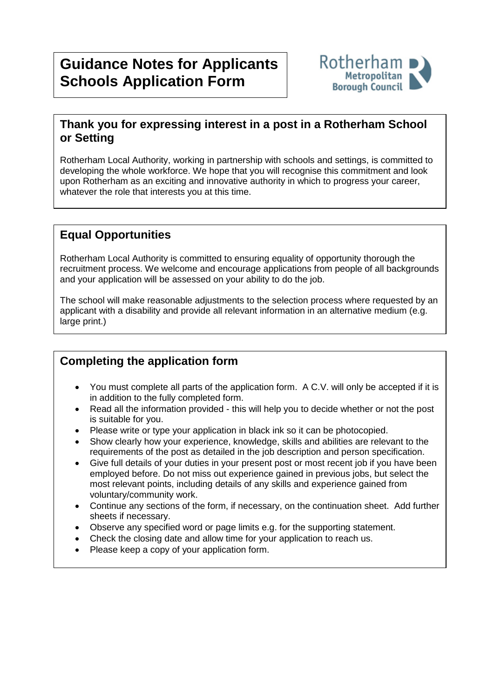# **Guidance Notes for Applicants Schools Application Form**



## **Thank you for expressing interest in a post in a Rotherham School or Setting**

Rotherham Local Authority, working in partnership with schools and settings, is committed to developing the whole workforce. We hope that you will recognise this commitment and look upon Rotherham as an exciting and innovative authority in which to progress your career, whatever the role that interests you at this time.

# **Equal Opportunities**

Rotherham Local Authority is committed to ensuring equality of opportunity thorough the recruitment process. We welcome and encourage applications from people of all backgrounds and your application will be assessed on your ability to do the job.

The school will make reasonable adjustments to the selection process where requested by an applicant with a disability and provide all relevant information in an alternative medium (e.g. large print.)

# **Completing the application form**

- You must complete all parts of the application form. A C.V. will only be accepted if it is in addition to the fully completed form.
- Read all the information provided this will help you to decide whether or not the post is suitable for you.
- Please write or type your application in black ink so it can be photocopied.
- Show clearly how your experience, knowledge, skills and abilities are relevant to the requirements of the post as detailed in the job description and person specification.
- Give full details of your duties in your present post or most recent job if you have been employed before. Do not miss out experience gained in previous jobs, but select the most relevant points, including details of any skills and experience gained from voluntary/community work.
- Continue any sections of the form, if necessary, on the continuation sheet. Add further sheets if necessary.
- Observe any specified word or page limits e.g. for the supporting statement.
- Check the closing date and allow time for your application to reach us.
- Please keep a copy of your application form.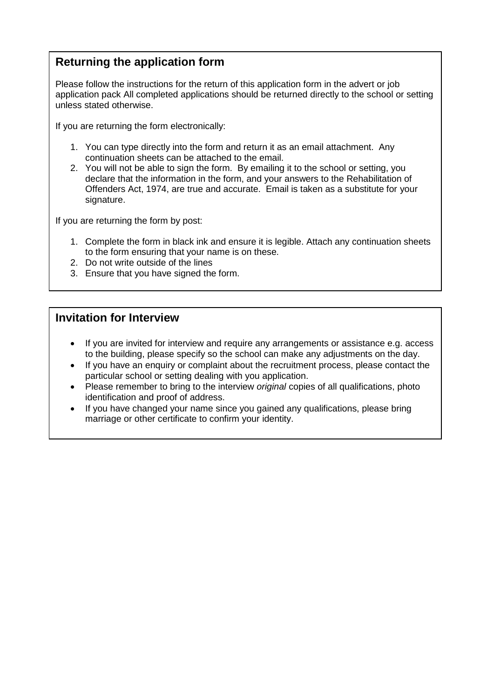# **Returning the application form**

Please follow the instructions for the return of this application form in the advert or job application pack All completed applications should be returned directly to the school or setting unless stated otherwise.

If you are returning the form electronically:

- 1. You can type directly into the form and return it as an email attachment. Any continuation sheets can be attached to the email.
- 2. You will not be able to sign the form. By emailing it to the school or setting, you declare that the information in the form, and your answers to the Rehabilitation of Offenders Act, 1974, are true and accurate. Email is taken as a substitute for your signature.

If you are returning the form by post:

- 1. Complete the form in black ink and ensure it is legible. Attach any continuation sheets to the form ensuring that your name is on these.
- 2. Do not write outside of the lines
- 3. Ensure that you have signed the form.

## **Invitation for Interview**

- If you are invited for interview and require any arrangements or assistance e.g. access to the building, please specify so the school can make any adjustments on the day.
- If you have an enquiry or complaint about the recruitment process, please contact the particular school or setting dealing with you application.
- Please remember to bring to the interview *original* copies of all qualifications, photo identification and proof of address.
- If you have changed your name since you gained any qualifications, please bring marriage or other certificate to confirm your identity.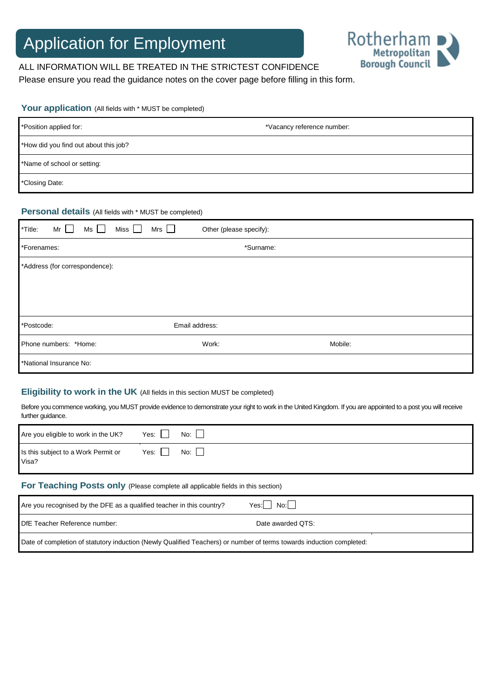# Application for Employment



# **ALL INFORMATION WILL BE TREATED IN THE STRICTEST CONFIDENCE**

Please ensure you read the guidance notes on the cover page before filling in this form.

#### Your application (All fields with \* MUST be completed)

| *Position applied for:                | *Vacancy reference number: |
|---------------------------------------|----------------------------|
| *How did you find out about this job? |                            |
| *Name of school or setting:           |                            |
| *Closing Date:                        |                            |

#### **Personal details** (All fields with \* MUST be completed)

| *Title:<br>$Mr$  <br>Ms<br>Miss  <br><b>Contract</b> | Mrs $\Box$<br>Other (please specify): |           |
|------------------------------------------------------|---------------------------------------|-----------|
| *Forenames:                                          |                                       | *Surname: |
| *Address (for correspondence):                       |                                       |           |
|                                                      |                                       |           |
|                                                      |                                       |           |
| *Postcode:                                           | Email address:                        |           |
| Phone numbers: *Home:                                | Work:                                 | Mobile:   |
| *National Insurance No:                              |                                       |           |

#### **Eligibility to work in the UK** (All fields in this section MUST be completed)

Before you commence working, you MUST provide evidence to demonstrate your right to work in the United Kingdom. If you are appointed to a post you will receive further guidance.

| Are you eligible to work in the UK?                            | Yes: 1                               | No: II |
|----------------------------------------------------------------|--------------------------------------|--------|
| Is this subject to a Work Permit or<br>Visa?                   | Yes: $\vert \vert$ No: $\vert \vert$ |        |
| $\Gamma$ ay Tagahiya Dagta aykızını bu bu bu bu bu bu bu bu bu |                                      |        |

#### **For Teaching Posts only** (Please complete all applicable fields in this section)

| Are you recognised by the DFE as a qualified teacher in this country?                                                | $Yes:$ No: $\vert$ |  |
|----------------------------------------------------------------------------------------------------------------------|--------------------|--|
| DfE Teacher Reference number:                                                                                        | Date awarded QTS:  |  |
| Date of completion of statutory induction (Newly Qualified Teachers) or number of terms towards induction completed: |                    |  |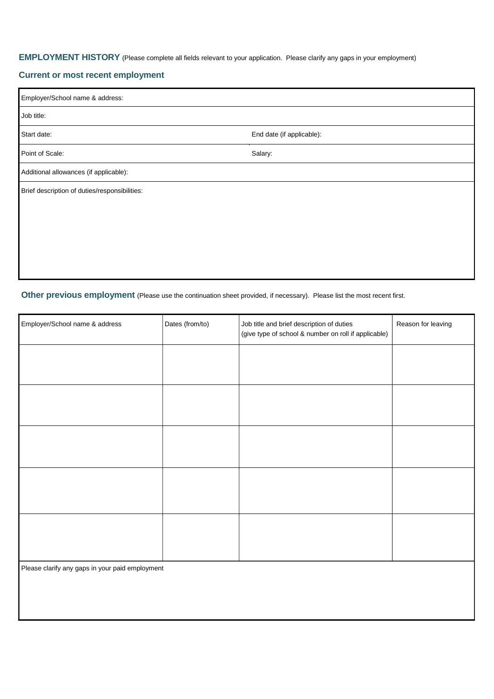#### **EMPLOYMENT HISTORY** (Please complete all fields relevant to your application. Please clarify any gaps in your employment)

#### **Current or most recent employment**

| Employer/School name & address:               |                           |
|-----------------------------------------------|---------------------------|
| Job title:                                    |                           |
| Start date:                                   | End date (if applicable): |
| Point of Scale:                               | Salary:                   |
| Additional allowances (if applicable):        |                           |
| Brief description of duties/responsibilities: |                           |
|                                               |                           |
|                                               |                           |
|                                               |                           |
|                                               |                           |

#### **Other previous employment** (Please use the continuation sheet provided, if necessary). Please list the most recent first.

| Employer/School name & address                  | Dates (from/to) | Job title and brief description of duties<br>(give type of school & number on roll if applicable) | Reason for leaving |
|-------------------------------------------------|-----------------|---------------------------------------------------------------------------------------------------|--------------------|
|                                                 |                 |                                                                                                   |                    |
|                                                 |                 |                                                                                                   |                    |
|                                                 |                 |                                                                                                   |                    |
|                                                 |                 |                                                                                                   |                    |
|                                                 |                 |                                                                                                   |                    |
|                                                 |                 |                                                                                                   |                    |
| Please clarify any gaps in your paid employment |                 |                                                                                                   |                    |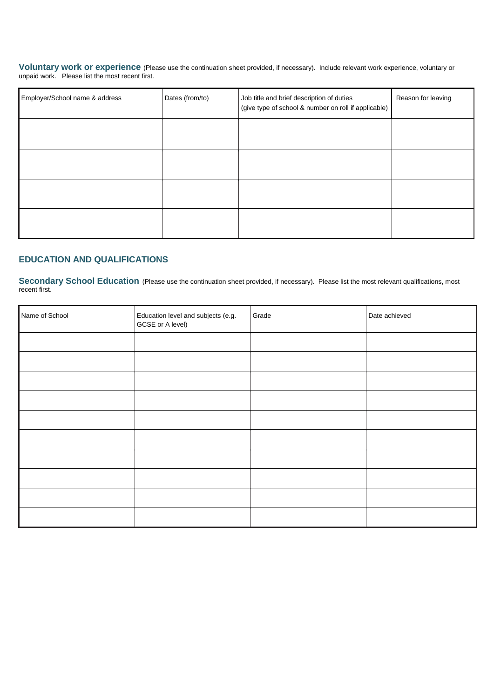**Voluntary work or experience** (Please use the continuation sheet provided, if necessary). Include relevant work experience, voluntary or unpaid work. Please list the most recent first.

| Employer/School name & address | Dates (from/to) | Job title and brief description of duties<br>(give type of school & number on roll if applicable) | Reason for leaving |
|--------------------------------|-----------------|---------------------------------------------------------------------------------------------------|--------------------|
|                                |                 |                                                                                                   |                    |
|                                |                 |                                                                                                   |                    |
|                                |                 |                                                                                                   |                    |
|                                |                 |                                                                                                   |                    |

#### **EDUCATION AND QUALIFICATIONS**

**Secondary School Education** (Please use the continuation sheet provided, if necessary). Please list the most relevant qualifications, most recent first.

| Name of School | Education level and subjects (e.g.<br>GCSE or A level) | Grade | Date achieved |
|----------------|--------------------------------------------------------|-------|---------------|
|                |                                                        |       |               |
|                |                                                        |       |               |
|                |                                                        |       |               |
|                |                                                        |       |               |
|                |                                                        |       |               |
|                |                                                        |       |               |
|                |                                                        |       |               |
|                |                                                        |       |               |
|                |                                                        |       |               |
|                |                                                        |       |               |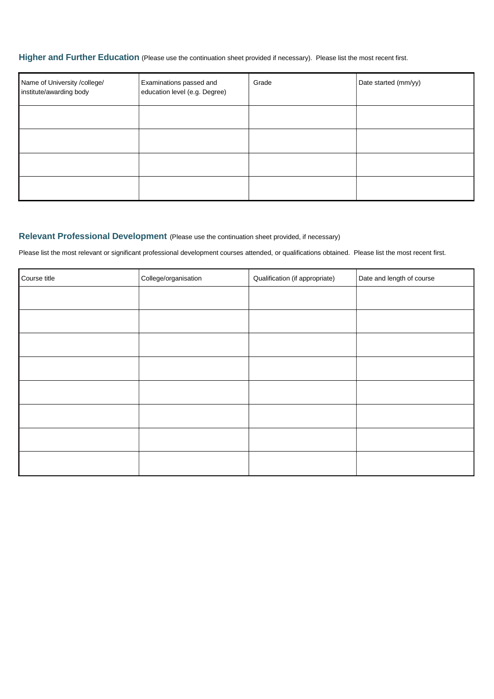#### **Higher and Further Education** (Please use the continuation sheet provided if necessary). Please list the most recent first.

| Name of University /college/<br>institute/awarding body | Examinations passed and<br>education level (e.g. Degree) | Grade | Date started (mm/yy) |
|---------------------------------------------------------|----------------------------------------------------------|-------|----------------------|
|                                                         |                                                          |       |                      |
|                                                         |                                                          |       |                      |
|                                                         |                                                          |       |                      |
|                                                         |                                                          |       |                      |

#### **Relevant Professional Development** (Please use the continuation sheet provided, if necessary)

Please list the most relevant or significant professional development courses attended, or qualifications obtained. Please list the most recent first.

| Course title | College/organisation | Qualification (if appropriate) | Date and length of course |
|--------------|----------------------|--------------------------------|---------------------------|
|              |                      |                                |                           |
|              |                      |                                |                           |
|              |                      |                                |                           |
|              |                      |                                |                           |
|              |                      |                                |                           |
|              |                      |                                |                           |
|              |                      |                                |                           |
|              |                      |                                |                           |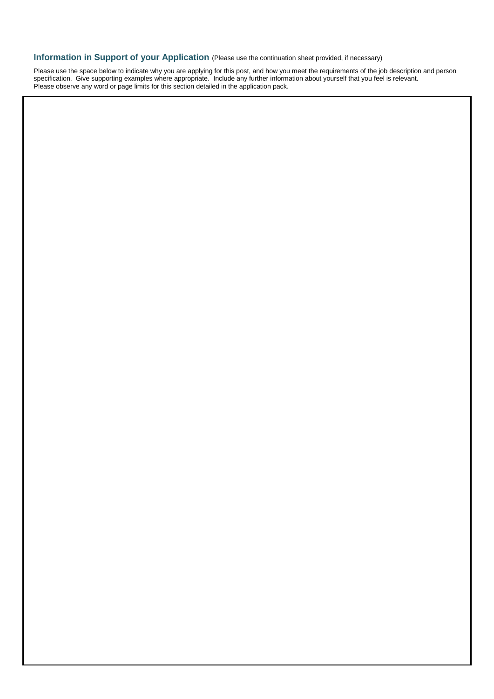#### **Information in Support of your Application** (Please use the continuation sheet provided, if necessary)

Please use the space below to indicate why you are applying for this post, and how you meet the requirements of the job description and person specification. Give supporting examples where appropriate. Include any further information about yourself that you feel is relevant. Please observe any word or page limits for this section detailed in the application pack.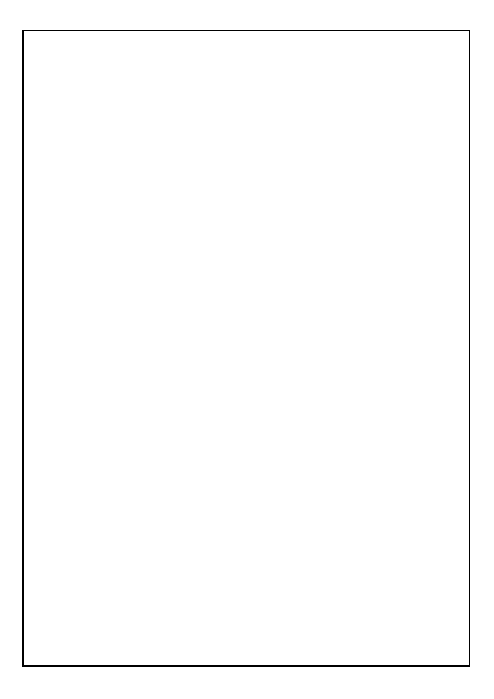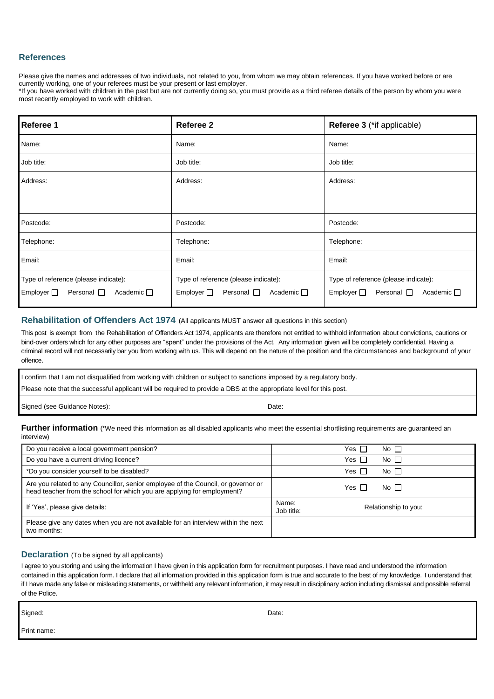#### **References**

Please give the names and addresses of two individuals, not related to you, from whom we may obtain references. If you have worked before or are currently working, one of your referees must be your present or last employer.

\*If you have worked with children in the past but are not currently doing so, you must provide as a third referee details of the person by whom you were most recently employed to work with children.

| Referee 1                                                                                     | Referee 2                                                                                           | Referee 3 (*if applicable)                                                                          |
|-----------------------------------------------------------------------------------------------|-----------------------------------------------------------------------------------------------------|-----------------------------------------------------------------------------------------------------|
| Name:                                                                                         | Name:                                                                                               | Name:                                                                                               |
| Job title:                                                                                    | Job title:                                                                                          | Job title:                                                                                          |
| Address:                                                                                      | Address:                                                                                            | Address:                                                                                            |
|                                                                                               |                                                                                                     |                                                                                                     |
| Postcode:                                                                                     | Postcode:                                                                                           | Postcode:                                                                                           |
| Telephone:                                                                                    | Telephone:                                                                                          | Telephone:                                                                                          |
| Email:                                                                                        | Email:                                                                                              | Email:                                                                                              |
| Type of reference (please indicate):<br>Employer $\Box$<br>Personal $\Box$<br>Academic $\Box$ | Type of reference (please indicate):<br>Academic $\square$<br>Personal $\Box$<br>Employer $\square$ | Type of reference (please indicate):<br>Personal $\square$<br>Academic $\square$<br>Employer $\Box$ |

#### **Rehabilitation of Offenders Act 1974** (All applicants MUST answer all questions in this section)

This post is exempt from the Rehabilitation of Offenders Act 1974, applicants are therefore not entitled to withhold information about convictions, cautions or bind-over orders which for any other purposes are "spent" under the provisions of the Act. Any information given will be completely confidential. Having a criminal record will not necessarily bar you from working with us. This will depend on the nature of the position and the circumstances and background of your offence.

| Signed (see Guidance Notes):                                                                                          | Date: |
|-----------------------------------------------------------------------------------------------------------------------|-------|
| Please note that the successful applicant will be required to provide a DBS at the appropriate level for this post.   |       |
| I confirm that I am not disqualified from working with children or subject to sanctions imposed by a regulatory body. |       |

#### **Further information** (\*We need this information as all disabled applicants who meet the essential shortlisting requirements are guaranteed an interview)

| Do you receive a local government pension?                                                                                                                   | No $\Box$<br>Yes $\Box$                     |
|--------------------------------------------------------------------------------------------------------------------------------------------------------------|---------------------------------------------|
| Do you have a current driving licence?                                                                                                                       | No $\Box$<br>Yes $\Box$                     |
| *Do you consider yourself to be disabled?                                                                                                                    | $No$ $\Box$<br>Yes $\Box$                   |
| Are you related to any Councillor, senior employee of the Council, or governor or<br>head teacher from the school for which you are applying for employment? | $No$ $\Box$<br>Yes II                       |
| If 'Yes', please give details:                                                                                                                               | Name:<br>Relationship to you:<br>Job title: |
| Please give any dates when you are not available for an interview within the next<br>two months:                                                             |                                             |

#### **Declaration** (To be signed by all applicants)

I agree to you storing and using the information I have given in this application form for recruitment purposes. I have read and understood the information contained in this application form. I declare that all information provided in this application form is true and accurate to the best of my knowledge. I understand that if I have made any false or misleading statements, or withheld any relevant information, it may result in disciplinary action including dismissal and possible referral of the Police.

The Council reserves the right Signed to verify any of the data supplied in  $\Box$  and  $\Box$  application.  $\Box$  and  $\Box$ 

Print name: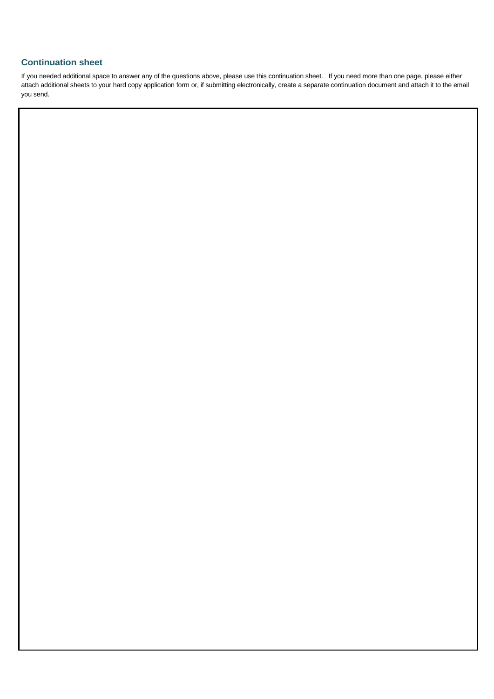#### **Continuation sheet**

If you needed additional space to answer any of the questions above, please use this continuation sheet. If you need more than one page, please either attach additional sheets to your hard copy application form or, if submitting electronically, create a separate continuation document and attach it to the email you send.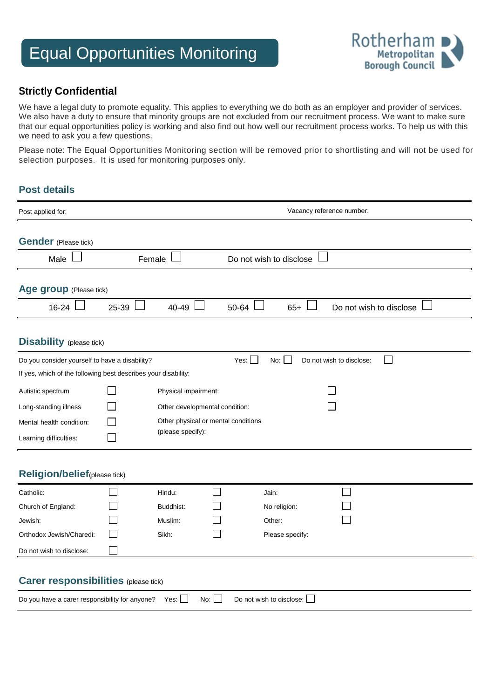# Equal Opportunities Monitoring



## **Strictly Confidential**

We have a legal duty to promote equality. This applies to everything we do both as an employer and provider of services. We also have a duty to ensure that minority groups are not excluded from our recruitment process. We want to make sure that our equal opportunities policy is working and also find out how well our recruitment process works. To help us with this we need to ask you a few questions.

Please note: The Equal Opportunities Monitoring section will be removed prior to shortlisting and will not be used for selection purposes. It is used for monitoring purposes only.

### **Post details**

| Post applied for:                                              |       |                                     |       |                          | Vacancy reference number: |  |  |
|----------------------------------------------------------------|-------|-------------------------------------|-------|--------------------------|---------------------------|--|--|
| <b>Gender</b> (Please tick)                                    |       |                                     |       |                          |                           |  |  |
| Male                                                           |       | Female                              |       | Do not wish to disclose  |                           |  |  |
| Age group (Please tick)                                        |       |                                     |       |                          |                           |  |  |
| $16 - 24$                                                      | 25-39 | 40-49                               | 50-64 | $65+$                    | Do not wish to disclose   |  |  |
| <b>Disability</b> (please tick)                                |       |                                     |       |                          |                           |  |  |
| Do you consider yourself to have a disability?                 |       |                                     | Yes:  | No:                      | Do not wish to disclose:  |  |  |
| If yes, which of the following best describes your disability: |       |                                     |       |                          |                           |  |  |
| Autistic spectrum                                              |       | Physical impairment:                |       |                          |                           |  |  |
| Long-standing illness                                          |       | Other developmental condition:      |       |                          |                           |  |  |
| Mental health condition:                                       |       | Other physical or mental conditions |       |                          |                           |  |  |
| Learning difficulties:                                         |       | (please specify):                   |       |                          |                           |  |  |
| <b>Religion/belief</b> (please tick)                           |       |                                     |       |                          |                           |  |  |
| Catholic:                                                      |       | Hindu:                              |       | Jain:                    |                           |  |  |
| Church of England:                                             |       | Buddhist:                           |       | No religion:             |                           |  |  |
| Jewish:                                                        |       | Muslim:                             |       | Other:                   |                           |  |  |
| Orthodox Jewish/Charedi:                                       |       | Sikh:                               |       | Please specify:          |                           |  |  |
| Do not wish to disclose:                                       |       |                                     |       |                          |                           |  |  |
| <b>Carer responsibilities (please tick)</b>                    |       |                                     |       |                          |                           |  |  |
| Do you have a carer responsibility for anyone?                 |       | No:<br>Yes: L_                      |       | Do not wish to disclose: |                           |  |  |